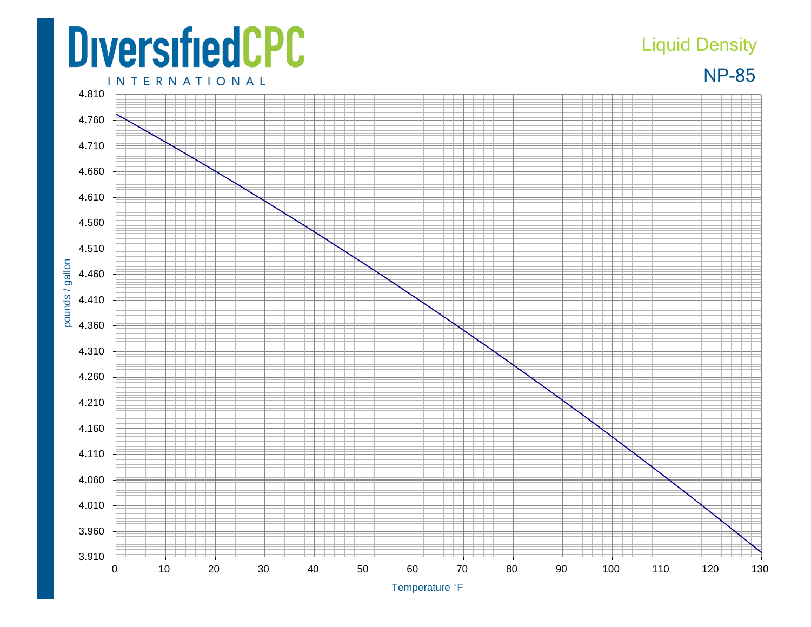## **DiversifiedCPC**

3.910

3.960

pounds / gallon

## Liquid Density

NP-85



0 10 20 30 40 50 60 70 80 90 100 110 120 130

Temperature °F